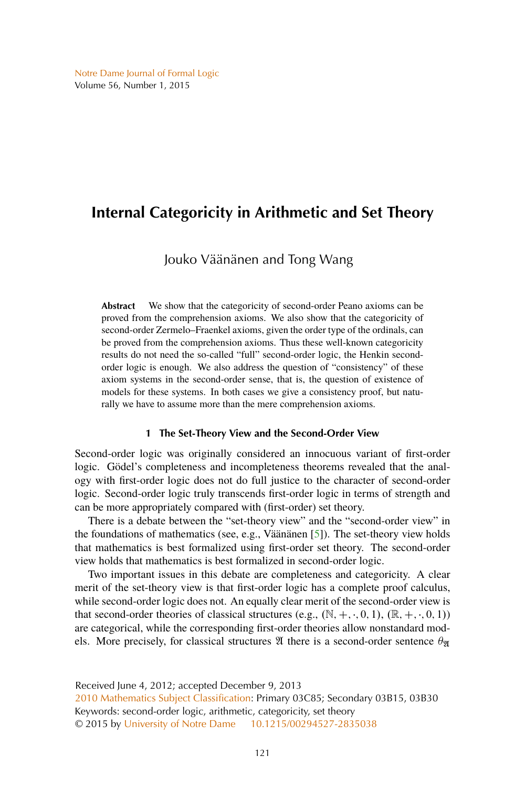# <span id="page-0-0"></span>**Internal Categoricity in Arithmetic and Set Theory**

## Jouko Väänänen and Tong Wang

**Abstract** We show that the categoricity of second-order Peano axioms can be proved from the comprehension axioms. We also show that the categoricity of second-order Zermelo–Fraenkel axioms, given the order type of the ordinals, can be proved from the comprehension axioms. Thus these well-known categoricity results do not need the so-called "full" second-order logic, the Henkin secondorder logic is enough. We also address the question of "consistency" of these axiom systems in the second-order sense, that is, the question of existence of models for these systems. In both cases we give a consistency proof, but naturally we have to assume more than the mere comprehension axioms.

### **1 The Set-Theory View and the Second-Order View**

Second-order logic was originally considered an innocuous variant of first-order logic. Gödel's completeness and incompleteness theorems revealed that the analogy with first-order logic does not do full justice to the character of second-order logic. Second-order logic truly transcends first-order logic in terms of strength and can be more appropriately compared with (first-order) set theory.

There is a debate between the "set-theory view" and the "second-order view" in the foundations of mathematics (see, e.g., Väänänen [\[5\]](#page-12-0)). The set-theory view holds that mathematics is best formalized using first-order set theory. The second-order view holds that mathematics is best formalized in second-order logic.

Two important issues in this debate are completeness and categoricity. A clear merit of the set-theory view is that first-order logic has a complete proof calculus, while second-order logic does not. An equally clear merit of the second-order view is that second-order theories of classical structures (e.g.,  $(\mathbb{N}, +, \cdot, 0, 1), (\mathbb{R}, +, \cdot, 0, 1)$ ) are categorical, while the corresponding first-order theories allow nonstandard models. More precisely, for classical structures  $\mathfrak A$  there is a second-order sentence  $\theta_{\mathfrak A}$ 

Received June 4, 2012; accepted December 9, 2013 [2010 Mathematics Subject Classification:](http://www.ams.org/mathscinet/msc/msc2010.html) Primary 03C85; Secondary 03B15, 03B30 Keywords: second-order logic, arithmetic, categoricity, set theory © 2015 by [University of Notre Dame](http://www.nd.edu) [10.1215/00294527-2835038](http://dx.doi.org/10.1215/00294527-2835038)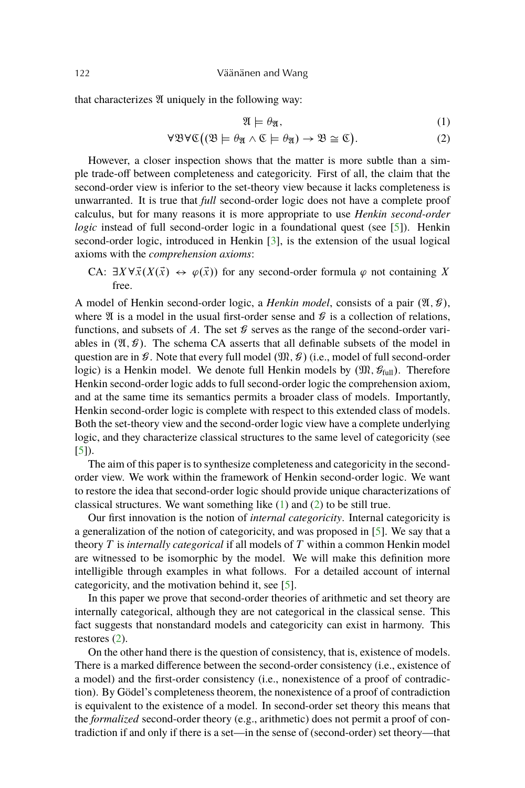<span id="page-1-0"></span>that characterizes  $X$  uniquely in the following way:

$$
\mathfrak{A} \models \theta_{\mathfrak{A}},\tag{1}
$$

$$
\forall \mathfrak{B}\forall \mathfrak{C}\big((\mathfrak{B}\models \theta_{\mathfrak{A}} \land \mathfrak{C}\models \theta_{\mathfrak{A}})\rightarrow \mathfrak{B}\cong \mathfrak{C}\big). \tag{2}
$$

However, a closer inspection shows that the matter is more subtle than a simple trade-off between completeness and categoricity. First of all, the claim that the second-order view is inferior to the set-theory view because it lacks completeness is unwarranted. It is true that *full* second-order logic does not have a complete proof calculus, but for many reasons it is more appropriate to use *Henkin second-order logic* instead of full second-order logic in a foundational quest (see [\[5\]](#page-12-0)). Henkin second-order logic, introduced in Henkin [\[3\]](#page-12-0), is the extension of the usual logical axioms with the *comprehension axioms*:

CA:  $\exists X \forall \vec{x} (X(\vec{x}) \leftrightarrow \varphi(\vec{x}))$  for any second-order formula  $\varphi$  not containing X free.

A model of Henkin second-order logic, a *Henkin model*, consists of a pair  $(\mathfrak{A}, \mathcal{G})$ , where  $\mathfrak A$  is a model in the usual first-order sense and  $\mathcal G$  is a collection of relations, functions, and subsets of A. The set  $\mathcal G$  serves as the range of the second-order variables in  $(\mathfrak{A}, \mathcal{G})$ . The schema CA asserts that all definable subsets of the model in question are in  $\mathcal G$ . Note that every full model  $(\mathfrak M, \mathcal G)$  (i.e., model of full second-order logic) is a Henkin model. We denote full Henkin models by  $(\mathfrak{M}, \mathcal{G}_{\text{full}})$ . Therefore Henkin second-order logic adds to full second-order logic the comprehension axiom, and at the same time its semantics permits a broader class of models. Importantly, Henkin second-order logic is complete with respect to this extended class of models. Both the set-theory view and the second-order logic view have a complete underlying logic, and they characterize classical structures to the same level of categoricity (see [\[5\]](#page-12-0)).

The aim of this paper is to synthesize completeness and categoricity in the secondorder view. We work within the framework of Henkin second-order logic. We want to restore the idea that second-order logic should provide unique characterizations of classical structures. We want something like  $(1)$  and  $(2)$  to be still true.

Our first innovation is the notion of *internal categoricity*. Internal categoricity is a generalization of the notion of categoricity, and was proposed in [\[5\]](#page-12-0). We say that a theory T is *internally categorical* if all models of T within a common Henkin model are witnessed to be isomorphic by the model. We will make this definition more intelligible through examples in what follows. For a detailed account of internal categoricity, and the motivation behind it, see [\[5\]](#page-12-0).

In this paper we prove that second-order theories of arithmetic and set theory are internally categorical, although they are not categorical in the classical sense. This fact suggests that nonstandard models and categoricity can exist in harmony. This restores (2).

On the other hand there is the question of consistency, that is, existence of models. There is a marked difference between the second-order consistency (i.e., existence of a model) and the first-order consistency (i.e., nonexistence of a proof of contradiction). By Gödel's completeness theorem, the nonexistence of a proof of contradiction is equivalent to the existence of a model. In second-order set theory this means that the *formalized* second-order theory (e.g., arithmetic) does not permit a proof of contradiction if and only if there is a set—in the sense of (second-order) set theory—that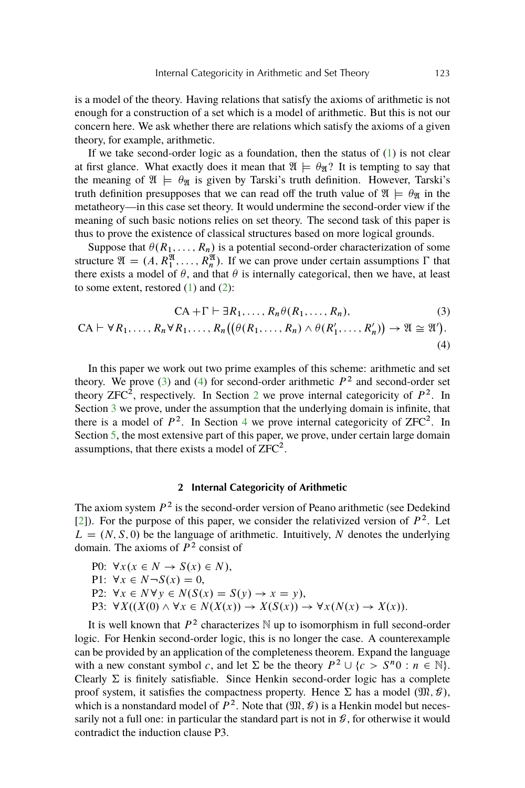<span id="page-2-0"></span>is a model of the theory. Having relations that satisfy the axioms of arithmetic is not enough for a construction of a set which is a model of arithmetic. But this is not our concern here. We ask whether there are relations which satisfy the axioms of a given theory, for example, arithmetic.

If we take second-order logic as a foundation, then the status of  $(1)$  is not clear at first glance. What exactly does it mean that  $\mathfrak{A} \models \theta_{\mathfrak{A}}$ ? It is tempting to say that the meaning of  $\mathfrak{A} \models \theta_{\mathfrak{R}}$  is given by Tarski's truth definition. However, Tarski's truth definition presupposes that we can read off the truth value of  $\mathfrak{A} \models \theta_{\mathfrak{A}}$  in the metatheory—in this case set theory. It would undermine the second-order view if the meaning of such basic notions relies on set theory. The second task of this paper is thus to prove the existence of classical structures based on more logical grounds.

Suppose that  $\theta(R_1, \ldots, R_n)$  is a potential second-order characterization of some structure  $\mathfrak{A} = (A, R_1^{\mathfrak{A}}, \dots, R_n^{\mathfrak{A}})$ . If we can prove under certain assumptions  $\Gamma$  that there exists a model of  $\theta$ , and that  $\theta$  is internally categorical, then we have, at least to some extent, restored  $(1)$  and  $(2)$ :

$$
CA + \Gamma \vdash \exists R_1, \dots, R_n \theta(R_1, \dots, R_n),
$$
\n
$$
CA \vdash \forall R_1, \dots, R_n \forall R_1, \dots, R_n \big( \big( \theta(R_1, \dots, R_n) \land \theta(R'_1, \dots, R'_n) \big) \to \mathfrak{A} \cong \mathfrak{A}^\prime \big).
$$
\n
$$
(4)
$$

In this paper we work out two prime examples of this scheme: arithmetic and set theory. We prove (3) and (4) for second-order arithmetic  $P^2$  and second-order set theory ZFC<sup>2</sup>, respectively. In Section 2 we prove internal categoricity of  $P^2$ . In Section [3](#page-4-0) we prove, under the assumption that the underlying domain is infinite, that there is a model of  $P^2$ . In Section [4](#page-5-0) we prove internal categoricity of ZFC<sup>2</sup>. In Section [5,](#page-7-0) the most extensive part of this paper, we prove, under certain large domain assumptions, that there exists a model of  $ZFC^2$ .

### **2 Internal Categoricity of Arithmetic**

The axiom system  $P<sup>2</sup>$  is the second-order version of Peano arithmetic (see Dedekind [\[2\]](#page-12-0)). For the purpose of this paper, we consider the relativized version of  $P^2$ . Let  $L = (N, S, 0)$  be the language of arithmetic. Intuitively, N denotes the underlying domain. The axioms of  $P<sup>2</sup>$  consist of

P0:  $\forall x (x \in N \rightarrow S(x) \in N),$ P1:  $\forall x \in N \neg S(x) = 0$ , P2:  $\forall x \in N \forall y \in N(S(x) = S(y) \rightarrow x = y),$ P3:  $\forall X((X(0) \land \forall x \in N(X(x))) \rightarrow X(S(x)) \rightarrow \forall x(N(x) \rightarrow X(x)).$ 

It is well known that  $P^2$  characterizes N up to isomorphism in full second-order logic. For Henkin second-order logic, this is no longer the case. A counterexample can be provided by an application of the completeness theorem. Expand the language with a new constant symbol c, and let  $\Sigma$  be the theory  $P^2 \cup \{c > S^n 0 : n \in \mathbb{N}\}.$ Clearly  $\Sigma$  is finitely satisfiable. Since Henkin second-order logic has a complete proof system, it satisfies the compactness property. Hence  $\Sigma$  has a model  $(\mathfrak{M}, \mathcal{G})$ , which is a nonstandard model of  $P^2$ . Note that  $(\mathfrak{M}, \mathcal{G})$  is a Henkin model but necessarily not a full one: in particular the standard part is not in  $\mathcal{G}$ , for otherwise it would contradict the induction clause P3.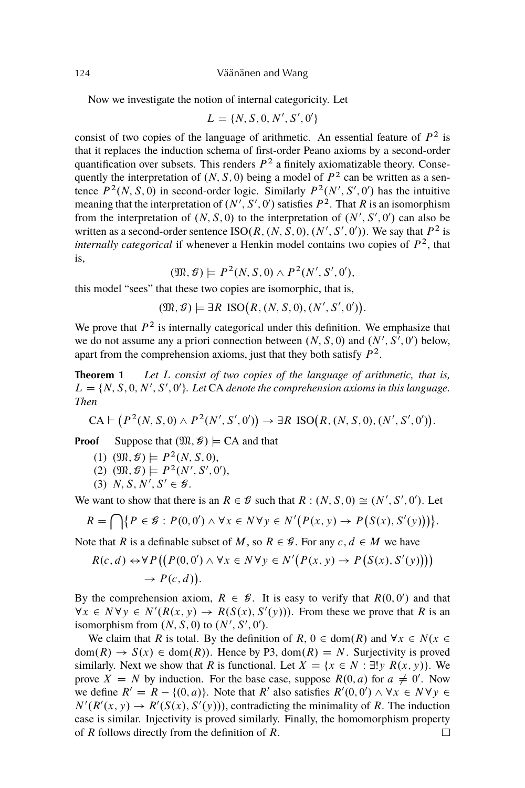Now we investigate the notion of internal categoricity. Let

$$
L = \{N, S, 0, N', S', 0'\}
$$

consist of two copies of the language of arithmetic. An essential feature of  $P^2$  is that it replaces the induction schema of first-order Peano axioms by a second-order quantification over subsets. This renders  $P^2$  a finitely axiomatizable theory. Consequently the interpretation of  $(N, S, 0)$  being a model of  $P<sup>2</sup>$  can be written as a sentence  $P^2(N, S, 0)$  in second-order logic. Similarly  $P^2(N', S', 0')$  has the intuitive meaning that the interpretation of  $(N', S', 0')$  satisfies  $P^2$ . That R is an isomorphism from the interpretation of  $(N, S, 0)$  to the interpretation of  $(N', S', 0')$  can also be written as a second-order sentence  $ISO(R, (N, S, 0), (N', S', 0'))$ . We say that  $P^2$  is *internally categorical* if whenever a Henkin model contains two copies of  $P<sup>2</sup>$ , that is,

 $(\mathfrak{M}, \mathcal{G}) \models P^2(N, S, 0) \wedge P^2(N', S', 0'),$ 

this model "sees" that these two copies are isomorphic, that is,

 $(\mathfrak{M}, \mathcal{G}) \models \exists R \, \text{ISO}(R, (N, S, 0), (N', S', 0')).$ 

We prove that  $P<sup>2</sup>$  is internally categorical under this definition. We emphasize that we do not assume any a priori connection between  $(N, S, 0)$  and  $(N', S', 0')$  below, apart from the comprehension axioms, just that they both satisfy  $P^2$ .

**Theorem 1** *Let* L *consist of two copies of the language of arithmetic, that is,*  $L = \{N, S, 0, N', S', 0'\}$ . Let CA denote the comprehension axioms in this language. *Then*

$$
CA \vdash (P^2(N, S, 0) \land P^2(N', S', 0')) \to \exists R \, \text{ISO}(R, (N, S, 0), (N', S', 0')).
$$

**Proof** Suppose that  $(\mathfrak{M}, \mathcal{G}) \models CA$  and that

- (1)  $(\mathfrak{M}, \mathcal{G}) \models P^2(N, S, 0),$
- (2)  $(\mathfrak{M}, \mathcal{G}) \models P^2(N', S', 0'),$
- (3) N, S, N', S'  $\in \mathcal{G}$ .

We want to show that there is an  $R \in \mathcal{G}$  such that  $R : (N, S, 0) \cong (N', S', 0')$ . Let

$$
R = \bigcap \{ P \in \mathcal{G} : P(0,0') \wedge \forall x \in N \forall y \in N' (P(x,y) \rightarrow P(S(x),S'(y))) \}.
$$

Note that R is a definable subset of M, so  $R \in \mathcal{G}$ . For any  $c, d \in M$  we have

$$
R(c,d) \leftrightarrow \forall P((P(0,0') \land \forall x \in N \forall y \in N'(P(x,y) \to P(S(x),S'(y))))
$$
  
\n
$$
\rightarrow P(c,d)).
$$

By the comprehension axiom,  $R \in \mathcal{G}$ . It is easy to verify that  $R(0, 0')$  and that  $\forall x \in N \forall y \in N'(R(x, y) \rightarrow R(S(x), S'(y)))$ . From these we prove that R is an isomorphism from  $(N, S, 0)$  to  $(N', S', 0')$ .

We claim that R is total. By the definition of R,  $0 \in \text{dom}(R)$  and  $\forall x \in N$ .  $dom(R) \rightarrow S(x) \in dom(R)$ . Hence by P3,  $dom(R) = N$ . Surjectivity is proved similarly. Next we show that R is functional. Let  $X = \{x \in N : \exists! y \ R(x, y)\}.$  We prove  $\dot{X} = N$  by induction. For the base case, suppose  $R(0, a)$  for  $a \neq 0'$ . Now we define  $R' = R - \{(0, a)\}\)$ . Note that R' also satisfies  $R'(0, 0') \wedge \forall x \in N \forall y \in$  $N'(R'(x, y) \to R'(S(x), S'(y)))$ , contradicting the minimality of R. The induction case is similar. Injectivity is proved similarly. Finally, the homomorphism property of R follows directly from the definition of R. $\Box$ 

<span id="page-3-0"></span>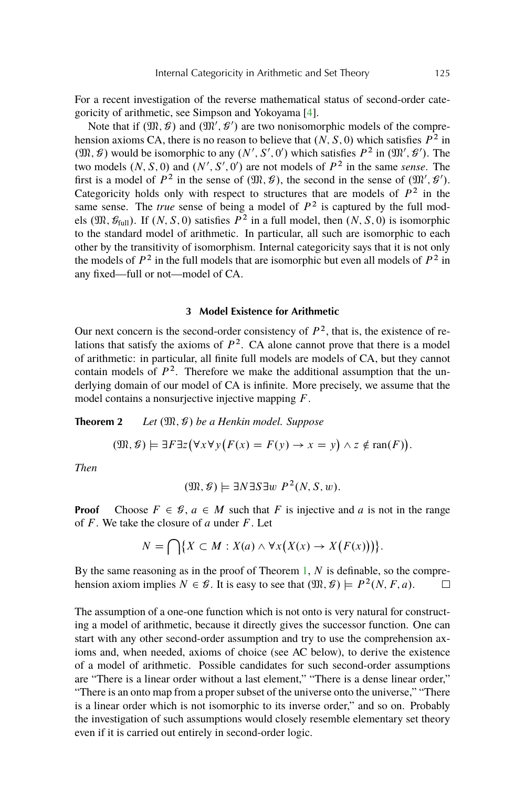<span id="page-4-0"></span>For a recent investigation of the reverse mathematical status of second-order categoricity of arithmetic, see Simpson and Yokoyama [\[4\]](#page-12-0).

Note that if  $(\mathfrak{M}, \mathcal{G})$  and  $(\mathfrak{M}', \mathcal{G}')$  are two nonisomorphic models of the comprehension axioms CA, there is no reason to believe that  $(N, S, 0)$  which satisfies  $P<sup>2</sup>$  in  $(\mathfrak{M}, \mathcal{G})$  would be isomorphic to any  $(N', S', 0')$  which satisfies  $P^2$  in  $(\mathfrak{M}', \mathcal{G}')$ . The two models  $(N, S, 0)$  and  $(N', S', 0')$  are not models of  $P<sup>2</sup>$  in the same *sense*. The first is a model of  $P^2$  in the sense of  $(\mathfrak{M}, \mathcal{G})$ , the second in the sense of  $(\mathfrak{M}', \mathcal{G}')$ . Categoricity holds only with respect to structures that are models of  $P^2$  in the same sense. The *true* sense of being a model of  $P<sup>2</sup>$  is captured by the full models ( $\mathfrak{M}, \mathcal{G}_{full}$ ). If  $(N, S, 0)$  satisfies  $P^2$  in a full model, then  $(N, S, 0)$  is isomorphic to the standard model of arithmetic. In particular, all such are isomorphic to each other by the transitivity of isomorphism. Internal categoricity says that it is not only the models of  $P^2$  in the full models that are isomorphic but even all models of  $P^2$  in any fixed—full or not—model of CA.

### **3 Model Existence for Arithmetic**

Our next concern is the second-order consistency of  $P<sup>2</sup>$ , that is, the existence of relations that satisfy the axioms of  $P^2$ . CA alone cannot prove that there is a model of arithmetic: in particular, all finite full models are models of CA, but they cannot contain models of  $P^2$ . Therefore we make the additional assumption that the underlying domain of our model of CA is infinite. More precisely, we assume that the model contains a nonsurjective injective mapping F.

**Theorem 2** *Let*  $(\mathfrak{M}, \mathcal{G})$  *be a Henkin model. Suppose* 

$$
(\mathfrak{M}, \mathcal{G}) \models \exists F \exists z (\forall x \forall y (F(x) = F(y) \rightarrow x = y) \land z \notin \text{ran}(F)).
$$

*Then*

$$
(\mathfrak{M}, \mathcal{G}) \models \exists N \exists S \exists w P^2(N, S, w).
$$

**Proof** Choose  $F \in \mathcal{G}$ ,  $a \in M$  such that F is injective and a is not in the range of  $F$ . We take the closure of a under  $F$ . Let

$$
N = \bigcap \{ X \subset M : X(a) \wedge \forall x \big( X(x) \to X\big( F(x) \big) \big) \}.
$$

By the same reasoning as in the proof of Theorem [1,](#page-3-0)  $N$  is definable, so the comprehension axiom implies  $N \in \mathcal{G}$ . It is easy to see that  $(\mathfrak{M}, \mathcal{G}) \models P^2(N, F, a)$ .  $\Box$ 

The assumption of a one-one function which is not onto is very natural for constructing a model of arithmetic, because it directly gives the successor function. One can start with any other second-order assumption and try to use the comprehension axioms and, when needed, axioms of choice (see AC below), to derive the existence of a model of arithmetic. Possible candidates for such second-order assumptions are "There is a linear order without a last element," "There is a dense linear order," "There is an onto map from a proper subset of the universe onto the universe," "There is a linear order which is not isomorphic to its inverse order," and so on. Probably the investigation of such assumptions would closely resemble elementary set theory even if it is carried out entirely in second-order logic.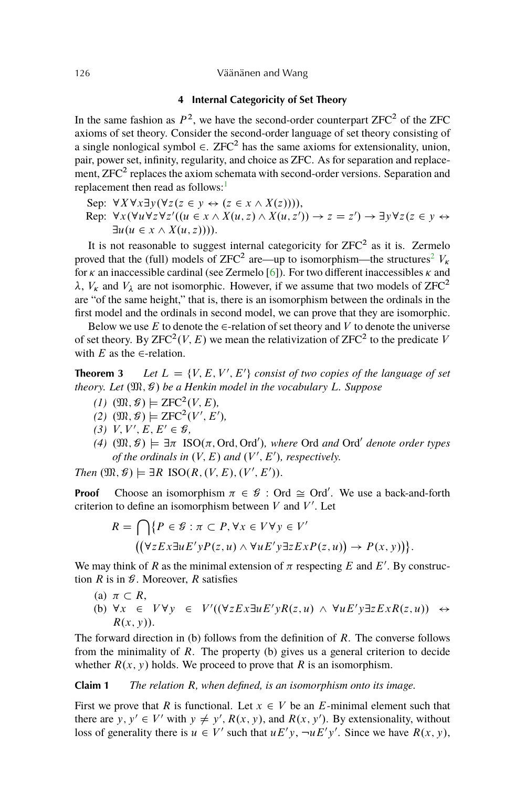### <span id="page-5-0"></span>126 Väänänen and Wang

### **4 Internal Categoricity of Set Theory**

In the same fashion as  $P^2$ , we have the second-order counterpart  $ZFC^2$  of the  $ZFC$ axioms of set theory. Consider the second-order language of set theory consisting of a single nonlogical symbol  $\in$ . ZFC<sup>2</sup> has the same axioms for extensionality, union, pair, power set, infinity, regularity, and choice as ZFC. As for separation and replacement,  $ZFC^2$  replaces the axiom schemata with second-order versions. Separation and replacement then read as follows:<sup>[1](#page-12-0)</sup>

Sep:  $\forall X \forall x \exists y (\forall z (z \in y \leftrightarrow (z \in x \land X(z))))$ ,

Rep:  $\forall x (\forall u \forall z \forall z' ((u \in x \land X(u,z) \land X(u,z')) \rightarrow z = z') \rightarrow \exists y \forall z (z \in y \leftrightarrow z')$  $\exists u (u \in x \wedge X(u,z))$ ).

It is not reasonable to suggest internal categoricity for  $ZFC^2$  as it is. Zermelo proved that the (full) models of ZFC<sup>[2](#page-12-0)</sup> are—up to isomorphism—the structures<sup>2</sup>  $V_{\kappa}$ for  $\kappa$  an inaccessible cardinal (see Zermelo [\[6\]](#page-12-0)). For two different inaccessibles  $\kappa$  and  $\lambda$ ,  $V_{\kappa}$  and  $V_{\lambda}$  are not isomorphic. However, if we assume that two models of ZFC<sup>2</sup> are "of the same height," that is, there is an isomorphism between the ordinals in the first model and the ordinals in second model, we can prove that they are isomorphic.

Below we use E to denote the  $\in$ -relation of set theory and V to denote the universe of set theory. By ZFC<sup>2</sup>(*V*, *E*) we mean the relativization of ZFC<sup>2</sup> to the predicate *V* with E as the  $\in$ -relation.

**Theorem 3** *Let*  $L = \{V, E, V', E'\}$  consist of two copies of the language of set *theory. Let*  $(\mathfrak{M}, \mathcal{G})$  *be a Henkin model in the vocabulary L. Suppose* 

- $(I)$   $(\mathfrak{M}, \mathcal{G}) \models \text{ZFC}^2(V, E),$
- $(2)$   $(\mathfrak{M}, \mathcal{G}) \models \text{ZFC}^2(V', E'),$
- $(3)$  V, V', E, E'  $\in \mathcal{G}$ ,
- $(4)$   $(\mathfrak{M}, \mathcal{G}) \models \exists \pi \ \text{ISO}(\pi, \text{Ord}, \text{Ord}'),$  where Ord *and* Ord' *denote order types of the ordinals in*  $(V, E)$  *and*  $(V', E')$ *, respectively.*

*Then*  $(\mathfrak{M}, \mathcal{G}) \models \exists R \ \text{ISO}(R, (V, E), (V', E')).$ 

**Proof** Choose an isomorphism  $\pi \in \mathcal{G}$ : Ord  $\cong$  Ord'. We use a back-and-forth criterion to define an isomorphism between  $V$  and  $V'$ . Let

$$
R = \bigcap \{ P \in \mathcal{G} : \pi \subset P, \forall x \in V \forall y \in V' \mid (\forall z E x \exists u E' y P(z, u) \land \forall u E' y \exists z E x P(z, u)) \to P(x, y) \}.
$$

We may think of R as the minimal extension of  $\pi$  respecting E and E'. By construction  $R$  is in  $\mathcal G$ . Moreover,  $R$  satisfies

(a)  $\pi \subset R$ , (b)  $\forall x \in V \forall y \in V'((\forall z E x \exists u E' y R(z, u) \land \forall u E' y \exists z E x R(z, u)) \leftrightarrow$  $R(x, y)$ ).

The forward direction in (b) follows from the definition of  $R$ . The converse follows from the minimality of  $R$ . The property (b) gives us a general criterion to decide whether  $R(x, y)$  holds. We proceed to prove that R is an isomorphism.

**Claim 1** *The relation* R*, when defined, is an isomorphism onto its image.*

First we prove that R is functional. Let  $x \in V$  be an E-minimal element such that there are y,  $y' \in V'$  with  $y \neq y'$ ,  $R(x, y)$ , and  $R(x, y')$ . By extensionality, without loss of generality there is  $u \in V'$  such that  $uE'y$ ,  $\neg uE'y'$ . Since we have  $R(x, y)$ ,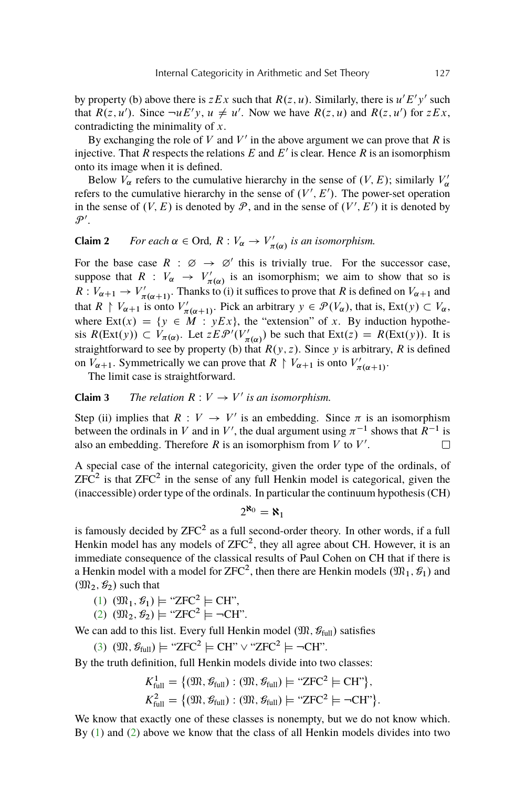by property (b) above there is  $z E x$  such that  $R(z, u)$ . Similarly, there is  $u' E'y'$  such that  $R(z, u')$ . Since  $\neg u E' y$ ,  $u \neq u'$ . Now we have  $R(z, u)$  and  $R(z, u')$  for  $z E x$ , contradicting the minimality of  $x$ .

By exchanging the role of V and V' in the above argument we can prove that R is injective. That R respects the relations E and E' is clear. Hence R is an isomorphism onto its image when it is defined.

Below  $V_{\alpha}$  refers to the cumulative hierarchy in the sense of  $(V, E)$ ; similarly  $V_{\alpha}'$ refers to the cumulative hierarchy in the sense of  $(V', E')$ . The power-set operation in the sense of  $(V, E)$  is denoted by  $P$ , and in the sense of  $(V', E')$  it is denoted by  $\mathcal{P}^{\prime}$ .

# **Claim 2** *For each*  $\alpha \in \text{Ord}$ ,  $R: V_{\alpha} \to V'_{\pi(\alpha)}$  *is an isomorphism.*

For the base case  $R : \emptyset \rightarrow \emptyset'$  this is trivially true. For the successor case, suppose that  $R : V_\alpha \to V'_{\pi(\alpha)}$  is an isomorphism; we aim to show that so is  $R: V_{\alpha+1} \to V'_{\pi(\alpha+1)}$ . Thanks to (i) it suffices to prove that R is defined on  $V_{\alpha+1}$  and that  $R \upharpoonright V_{\alpha+1}$  is onto  $V'_{\pi(\alpha+1)}$ . Pick an arbitrary  $y \in \mathcal{P}(V_{\alpha})$ , that is,  $Ext(y) \subset V_{\alpha}$ , where  $Ext(x) = \{y \in M : yEx\}$ , the "extension" of x. By induction hypothesis  $R(\text{Ext}(y)) \subset V_{\pi(\alpha)}$ . Let  $z E \mathcal{P}'(V_{\pi(\alpha)}')$  be such that  $\text{Ext}(z) = R(\text{Ext}(y))$ . It is straightforward to see by property (b) that  $R(y, z)$ . Since y is arbitrary, R is defined on  $V_{\alpha+1}$ . Symmetrically we can prove that  $R \restriction V_{\alpha+1}$  is onto  $V'_{\pi(\alpha+1)}$ .

The limit case is straightforward.

## **Claim 3** *The relation*  $R: V \to V'$  *is an isomorphism.*

Step (ii) implies that  $R: V \to V'$  is an embedding. Since  $\pi$  is an isomorphism between the ordinals in V and in V', the dual argument using  $\pi^{-1}$  shows that  $R^{-1}$  is also an embedding. Therefore  $R$  is an isomorphism from  $V$  to  $V'$ .  $\Box$ 

A special case of the internal categoricity, given the order type of the ordinals, of  $ZFC<sup>2</sup>$  is that  $ZFC<sup>2</sup>$  in the sense of any full Henkin model is categorical, given the (inaccessible) order type of the ordinals. In particular the continuum hypothesis (CH)

$$
2^{\aleph_0}=\aleph_1
$$

is famously decided by  $ZFC^2$  as a full second-order theory. In other words, if a full Henkin model has any models of  $ZFC^2$ , they all agree about CH. However, it is an immediate consequence of the classical results of Paul Cohen on CH that if there is a Henkin model with a model for ZFC $^2$ , then there are Henkin models  $(\mathfrak{M}_1,\mathscr{G}_1)$  and  $(\mathfrak{M}_2, \mathcal{G}_2)$  such that

- [\(1\)](#page-1-0)  $(\mathfrak{M}_1, \mathcal{G}_1) \models$  "ZFC<sup>2</sup>  $\models$  CH",
- [\(2\)](#page-1-0)  $(\mathfrak{M}_2, \mathcal{G}_2) \models$  "ZFC<sup>2</sup>  $\models \neg \text{CH}$ ".

We can add to this list. Every full Henkin model  $(\mathfrak{M}, \mathcal{G}_{full})$  satisfies

[\(3\)](#page-2-0)  $(\mathfrak{M}, \mathcal{G}_{\text{full}}) \models$  "ZFC<sup>2</sup>  $\models$  CH"  $\vee$  "ZFC<sup>2</sup>  $\models \neg \text{CH}$ ".

By the truth definition, full Henkin models divide into two classes:

$$
K_{\text{full}}^1 = \{ (\mathfrak{M}, \mathcal{G}_{\text{full}}) : (\mathfrak{M}, \mathcal{G}_{\text{full}}) \models \text{``ZFC}^2 \models \text{CH''} \},
$$
  

$$
K_{\text{full}}^2 = \{ (\mathfrak{M}, \mathcal{G}_{\text{full}}) : (\mathfrak{M}, \mathcal{G}_{\text{full}}) \models \text{``ZFC}^2 \models \neg \text{CH''} \}.
$$

We know that exactly one of these classes is nonempty, but we do not know which. By [\(1\)](#page-1-0) and [\(2\)](#page-1-0) above we know that the class of all Henkin models divides into two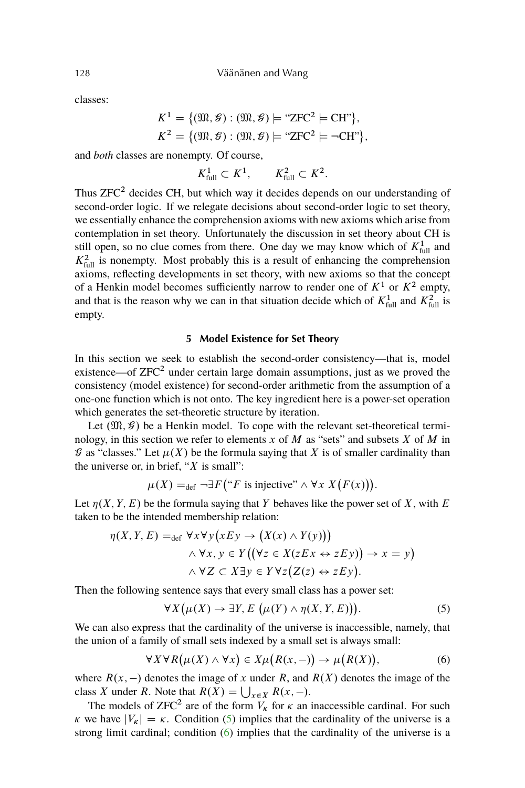classes:

$$
K^{1} = \{(\mathfrak{M}, \mathcal{G}) : (\mathfrak{M}, \mathcal{G}) \models \text{``ZFC}^{2} \models \text{CH"}\},
$$
  

$$
K^{2} = \{(\mathfrak{M}, \mathcal{G}) : (\mathfrak{M}, \mathcal{G}) \models \text{``ZFC}^{2} \models \neg \text{CH"}\},
$$

and *both* classes are nonempty. Of course,

$$
K_{\text{full}}^1 \subset K^1, \qquad K_{\text{full}}^2 \subset K^2
$$

:

Thus  $ZFC^2$  decides CH, but which way it decides depends on our understanding of second-order logic. If we relegate decisions about second-order logic to set theory, we essentially enhance the comprehension axioms with new axioms which arise from contemplation in set theory. Unfortunately the discussion in set theory about CH is still open, so no clue comes from there. One day we may know which of  $K_{\text{full}}^1$  and  $K<sub>full</sub><sup>2</sup>$  is nonempty. Most probably this is a result of enhancing the comprehension axioms, reflecting developments in set theory, with new axioms so that the concept of a Henkin model becomes sufficiently narrow to render one of  $K^1$  or  $K^2$  empty, and that is the reason why we can in that situation decide which of  $K_{\text{full}}^1$  and  $K_{\text{full}}^2$  is empty.

### **5 Model Existence for Set Theory**

In this section we seek to establish the second-order consistency—that is, model existence—of  $ZFC^2$  under certain large domain assumptions, just as we proved the consistency (model existence) for second-order arithmetic from the assumption of a one-one function which is not onto. The key ingredient here is a power-set operation which generates the set-theoretic structure by iteration.

Let  $(\mathfrak{M}, \mathcal{G})$  be a Henkin model. To cope with the relevant set-theoretical terminology, in this section we refer to elements  $x$  of  $M$  as "sets" and subsets  $X$  of  $M$  in  $\mathcal G$  as "classes." Let  $\mu(X)$  be the formula saying that X is of smaller cardinality than the universe or, in brief, " $X$  is small":

$$
\mu(X) =_{\text{def}} \neg \exists F \left( \text{``} F \text{ is injective''} \land \forall x \ X \big( F(x) \big) \right).
$$

Let  $\eta(X, Y, E)$  be the formula saying that Y behaves like the power set of X, with E taken to be the intended membership relation:

$$
\eta(X, Y, E) =_{\text{def}} \forall x \forall y (xEy \rightarrow (X(x) \land Y(y)))
$$
  
 
$$
\land \forall x, y \in Y ((\forall z \in X (zEx \leftrightarrow zEy)) \rightarrow x = y)
$$
  
 
$$
\land \forall Z \subset X \exists y \in Y \forall z (Z(z) \leftrightarrow zEy).
$$

Then the following sentence says that every small class has a power set:

$$
\forall X (\mu(X) \to \exists Y, E (\mu(Y) \land \eta(X, Y, E))). \tag{5}
$$

We can also express that the cardinality of the universe is inaccessible, namely, that the union of a family of small sets indexed by a small set is always small:

$$
\forall X \forall R \big(\mu(X) \land \forall x\big) \in X \mu\big(R(x, -)\big) \to \mu\big(R(X)\big),\tag{6}
$$

where  $R(x, -)$  denotes the image of x under R, and  $R(X)$  denotes the image of the class X under R. Note that  $R(X) = \bigcup_{x \in X} R(x, -)$ .

The models of ZFC<sup>2</sup> are of the form  $V_k$  for  $\kappa$  an inaccessible cardinal. For such  $\kappa$  we have  $|V_{\kappa}| = \kappa$ . Condition (5) implies that the cardinality of the universe is a strong limit cardinal; condition (6) implies that the cardinality of the universe is a

<span id="page-7-0"></span>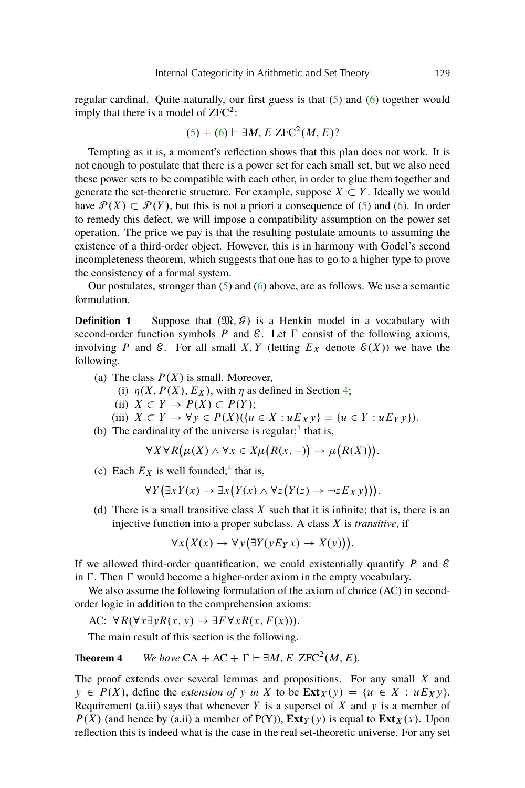<span id="page-8-0"></span>regular cardinal. Quite naturally, our first guess is that  $(5)$  and  $(6)$  together would imply that there is a model of  $ZFC^2$ :

$$
(5) + (6) \vdash \exists M, E \, ZFC^2(M, E)?
$$

Tempting as it is, a moment's reflection shows that this plan does not work. It is not enough to postulate that there is a power set for each small set, but we also need these power sets to be compatible with each other, in order to glue them together and generate the set-theoretic structure. For example, suppose  $X \subset Y$ . Ideally we would have  $\mathcal{P}(X) \subset \mathcal{P}(Y)$ , but this is not a priori a consequence of [\(5\)](#page-7-0) and [\(6\)](#page-7-0). In order to remedy this defect, we will impose a compatibility assumption on the power set operation. The price we pay is that the resulting postulate amounts to assuming the existence of a third-order object. However, this is in harmony with Gödel's second incompleteness theorem, which suggests that one has to go to a higher type to prove the consistency of a formal system.

Our postulates, stronger than  $(5)$  and  $(6)$  above, are as follows. We use a semantic formulation.

**Definition 1** Suppose that  $(\mathfrak{M}, \mathcal{G})$  is a Henkin model in a vocabulary with second-order function symbols  $P$  and  $\mathcal{E}$ . Let  $\Gamma$  consist of the following axioms, involving P and E. For all small X, Y (letting  $E<sub>X</sub>$  denote  $\mathcal{E}(X)$ ) we have the following.

- (a) The class  $P(X)$  is small. Moreover,
	- (i)  $\eta(X, P(X), E_X)$ , with  $\eta$  as defined in Section [4;](#page-5-0)
	- (ii)  $X \subset Y \to P(X) \subset P(Y)$ ;

(iii) 
$$
X \subset Y \to \forall y \in P(X)(\{u \in X : uE_Xy\} = \{u \in Y : uE_Yy\}).
$$

(b) The cardinality of the universe is regular; $3$  that is,

$$
\forall X \forall R(\mu(X) \land \forall x \in X \mu(R(x, -)) \to \mu(R(X))).
$$

(c) Each  $E_X$  is well founded;<sup>[4](#page-12-0)</sup> that is,

$$
\forall Y \big( \exists x Y(x) \rightarrow \exists x \big( Y(x) \land \forall z \big( Y(z) \rightarrow \neg z E_X y \big) \big) \big).
$$

(d) There is a small transitive class  $X$  such that it is infinite; that is, there is an injective function into a proper subclass. A class X is *transitive*, if

$$
\forall x (X(x) \to \forall y (\exists Y(y E_Y x) \to X(y))).
$$

If we allowed third-order quantification, we could existentially quantify  $P$  and  $\mathcal E$ in  $\Gamma$ . Then  $\Gamma$  would become a higher-order axiom in the empty vocabulary.

We also assume the following formulation of the axiom of choice (AC) in secondorder logic in addition to the comprehension axioms:

AC: 
$$
\forall R(\forall x \exists y R(x, y) \rightarrow \exists F \forall x R(x, F(x))).
$$

The main result of this section is the following.

**Theorem 4** *We have*  $CA + AC + \Gamma \vdash \exists M, E \text{ ZFC}^2(M, E)$ .

The proof extends over several lemmas and propositions. For any small  $X$  and  $y \in P(X)$ , define the *extension of* y *in* X to be  $\text{Ext}_X(y) = \{u \in X : uE_X y\}.$ Requirement (a.iii) says that whenever Y is a superset of X and y is a member of  $P(X)$  (and hence by (a.ii) a member of  $P(Y)$ ),  $\text{Ext}_Y(y)$  is equal to  $\text{Ext}_X(x)$ . Upon reflection this is indeed what is the case in the real set-theoretic universe. For any set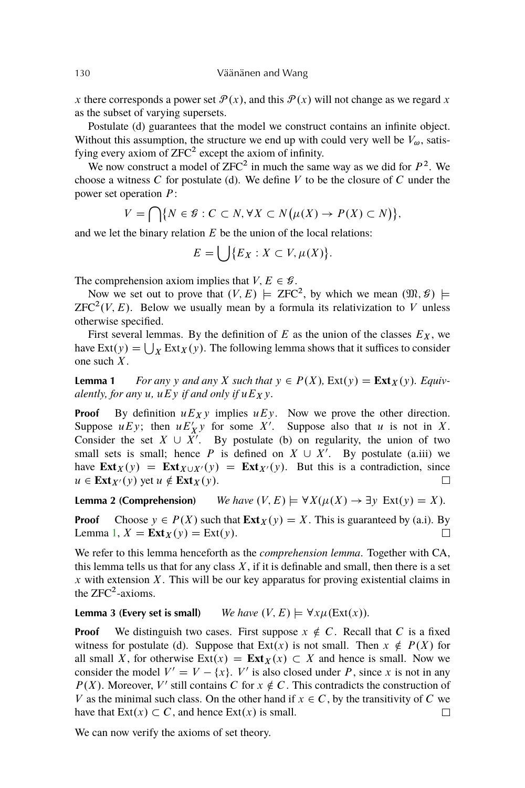<span id="page-9-0"></span>x there corresponds a power set  $\mathcal{P}(x)$ , and this  $\mathcal{P}(x)$  will not change as we regard x as the subset of varying supersets.

Postulate (d) guarantees that the model we construct contains an infinite object. Without this assumption, the structure we end up with could very well be  $V_{\omega}$ , satisfying every axiom of  $ZFC^2$  except the axiom of infinity.

We now construct a model of  $ZFC^2$  in much the same way as we did for  $P^2$ . We choose a witness  $C$  for postulate (d). We define  $V$  to be the closure of  $C$  under the power set operation P:

$$
V = \bigcap \{ N \in \mathcal{G} : C \subset N, \forall X \subset N(\mu(X) \to P(X) \subset N) \},\
$$

and we let the binary relation  $E$  be the union of the local relations:

$$
E = \bigcup \{ E_X : X \subset V, \mu(X) \}.
$$

The comprehension axiom implies that  $V, E \in \mathcal{G}$ .

Now we set out to prove that  $(V, E) \models \text{ZFC}^2$ , by which we mean  $(\mathfrak{M}, \mathcal{G}) \models$  $ZFC<sup>2</sup>(V, E)$ . Below we usually mean by a formula its relativization to V unless otherwise specified.

First several lemmas. By the definition of E as the union of the classes  $E<sub>X</sub>$ , we have  $\text{Ext}(y) = \bigcup_X \text{Ext}_X(y)$ . The following lemma shows that it suffices to consider one such X.

**Lemma 1** *For any* y and any X such that  $y \in P(X)$ ,  $Ext(y) = Ext_X(y)$ . Equiv*alently, for any*  $u$ *,*  $uEy$  *if and only if*  $uE_Xy$ *.* 

**Proof** By definition  $uE_X y$  implies  $uE_y$ . Now we prove the other direction. Suppose  $uEy$ ; then  $uE'_{X}y$  for some X'. Suppose also that u is not in X. Consider the set  $X \cup \overline{X'}$ . By postulate (b) on regularity, the union of two small sets is small; hence P is defined on  $X \cup X'$ . By postulate (a.iii) we have  $\text{Ext}_X(y) = \text{Ext}_{X \cup X'}(y) = \text{Ext}_{X'}(y)$ . But this is a contradiction, since  $u \in \mathbf{Ext}_{X}(y)$  yet  $u \notin \mathbf{Ext}_{X}(y)$ .  $\Box$ 

**Lemma 2 (Comprehension)** *We have*  $(V, E) \models \forall X (\mu(X) \rightarrow \exists y \ \text{Ext}(y) = X)$ *.* 

**Proof** Choose  $y \in P(X)$  such that  $\text{Ext}_X(y) = X$ . This is guaranteed by (a.i). By Lemma 1,  $X = \text{Ext}_X(y) = \text{Ext}(y)$ .  $\Box$ 

We refer to this lemma henceforth as the *comprehension lemma*. Together with CA, this lemma tells us that for any class  $X$ , if it is definable and small, then there is a set  $x$  with extension  $X$ . This will be our key apparatus for proving existential claims in the  $ZFC^2$ -axioms.

**Lemma 3 (Every set is small)** *We have*  $(V, E) \models \forall x \mu(Ext(x))$ .

**Proof** We distinguish two cases. First suppose  $x \notin C$ . Recall that C is a fixed witness for postulate (d). Suppose that  $Ext(x)$  is not small. Then  $x \notin P(X)$  for all small X, for otherwise  $Ext(x) = Ext_X(x) \subset X$  and hence is small. Now we consider the model  $V' = V - \{x\}$ . V' is also closed under P, since x is not in any  $P(X)$ . Moreover, V' still contains C for  $x \notin C$ . This contradicts the construction of V as the minimal such class. On the other hand if  $x \in C$ , by the transitivity of C we have that  $\text{Ext}(x) \subset C$ , and hence  $\text{Ext}(x)$  is small.  $\Box$ 

We can now verify the axioms of set theory.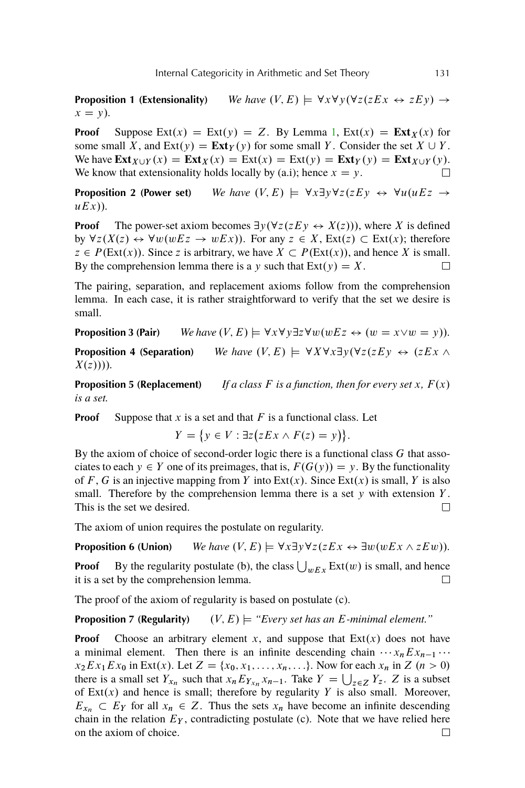**Proposition 1 (Extensionality)** *We have*  $(V, E) \models \forall x \forall y (\forall z (zEX \leftrightarrow zEy) \rightarrow$  $x = y$ *)*.

**Proof** Suppose Ext $(x) = \text{Ext}(y) = Z$ . By Lemma [1,](#page-9-0)  $\text{Ext}(x) = \text{Ext}_X(x)$  for some small X, and  $Ext(y) = Ext_Y(y)$  for some small Y. Consider the set  $X \cup Y$ . We have  $\text{Ext}_{X \cup Y}(x) = \text{Ext}_{X}(x) = \text{Ext}(x) = \text{Ext}(y) = \text{Ext}_{Y}(y) = \text{Ext}_{X \cup Y}(y)$ . We know that extensionality holds locally by (a.i); hence  $x = y$ .  $\Box$ 

**Proposition 2 (Power set)** *We have* .V; E/ ˆ 8x9y8z.zEy \$ 8u.uEz !  $uEx)$ ).

**Proof** The power-set axiom becomes  $\exists y (\forall z (zEy \leftrightarrow X(z)))$ , where X is defined by  $\forall z (X(z) \leftrightarrow \forall w (wEz \rightarrow wEx))$ . For any  $z \in X$ ,  $Ext(z) \subset Ext(x)$ ; therefore  $z \in P(\text{Ext}(x))$ . Since z is arbitrary, we have  $X \subset P(\text{Ext}(x))$ , and hence X is small. By the comprehension lemma there is a y such that  $Ext(y) = X$ .  $\Box$ 

The pairing, separation, and replacement axioms follow from the comprehension lemma. In each case, it is rather straightforward to verify that the set we desire is small.

**Proposition 3 (Pair)** *We have*  $(V, E) \models \forall x \forall y \exists z \forall w (wEz \leftrightarrow (w = x \lor w = y))$ *.* 

**Proposition 4 (Separation)** *We have*  $(V, E) \models \forall X \forall x \exists y (\forall z (z E y \leftrightarrow (z E x \land z E y))$  $X(z))$ )).

**Proposition 5 (Replacement)** *If a class* F *is a function, then for every set* x,  $F(x)$ *is a set.*

**Proof** Suppose that  $x$  is a set and that  $F$  is a functional class. Let

$$
Y = \{ y \in V : \exists z (zEx \wedge F(z) = y) \}.
$$

By the axiom of choice of second-order logic there is a functional class G that associates to each  $y \in Y$  one of its preimages, that is,  $F(G(y)) = y$ . By the functionality of F, G is an injective mapping from Y into  $Ext(x)$ . Since  $Ext(x)$  is small, Y is also small. Therefore by the comprehension lemma there is a set  $\gamma$  with extension Y. This is the set we desired.  $\Box$ 

The axiom of union requires the postulate on regularity.

**Proposition 6 (Union)** We have  $(V, E) \models \forall x \exists y \forall z (z E x \leftrightarrow \exists w (w E x \land z E w)).$ 

**Proof** By the regularity postulate (b), the class  $\bigcup_{w \in X} \text{Ext}(w)$  is small, and hence it is a set by the comprehension lemma.  $\Box$ 

The proof of the axiom of regularity is based on postulate (c).

**Proposition 7 (Regularity)**  $(V, E) \models "Every set has an E-minimal element."$ 

**Proof** Choose an arbitrary element x, and suppose that  $Ext(x)$  does not have a minimal element. Then there is an infinite descending chain  $\cdots x_n Ex_{n-1} \cdots$  $x_2Ex_1Ex_0$  in Ext(x). Let  $Z = \{x_0, x_1, \ldots, x_n, \ldots\}$ . Now for each  $x_n$  in  $Z$   $(n > 0)$ there is a small set  $Y_{x_n}$  such that  $x_n E_{Y_{x_n}} x_{n-1}$ . Take  $Y = \bigcup_{z \in Z} Y_z$ . Z is a subset of  $Ext(x)$  and hence is small; therefore by regularity Y is also small. Moreover,  $E_{x_n} \subset E_Y$  for all  $x_n \in Z$ . Thus the sets  $x_n$  have become an infinite descending chain in the relation  $E_Y$ , contradicting postulate (c). Note that we have relied here on the axiom of choice. $\Box$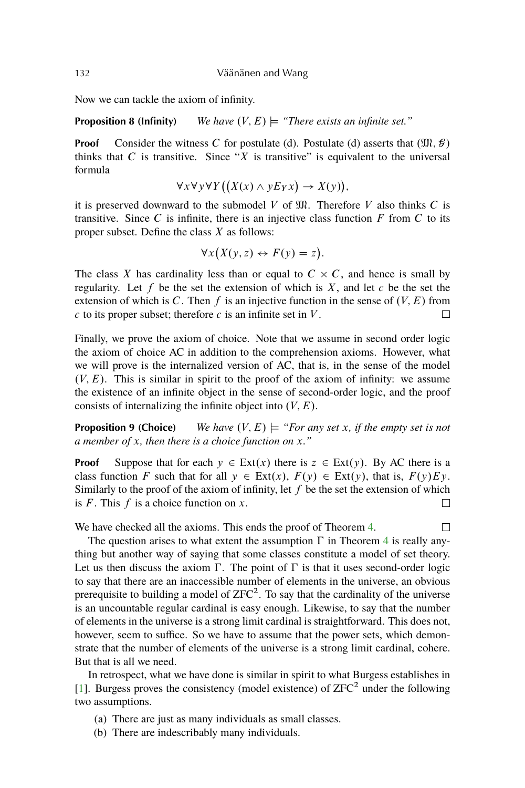<span id="page-11-0"></span>Now we can tackle the axiom of infinity.

**Proposition 8 (Infinity)** *We have*  $(V, E) \models$  *"There exists an infinite set."* 

**Proof** Consider the witness C for postulate (d). Postulate (d) asserts that  $(\mathfrak{M}, \mathcal{G})$ thinks that  $C$  is transitive. Since "X is transitive" is equivalent to the universal formula

$$
\forall x \forall y \forall Y ((X(x) \land y E_Y x) \rightarrow X(y)),
$$

it is preserved downward to the submodel  $V$  of  $\mathfrak{M}$ . Therefore  $V$  also thinks  $C$  is transitive. Since C is infinite, there is an injective class function  $F$  from C to its proper subset. Define the class  $X$  as follows:

$$
\forall x (X(y, z) \leftrightarrow F(y) = z).
$$

The class X has cardinality less than or equal to  $C \times C$ , and hence is small by regularity. Let f be the set the extension of which is  $X$ , and let c be the set the extension of which is C. Then f is an injective function in the sense of  $(V, E)$  from  $c$  to its proper subset; therefore  $c$  is an infinite set in  $V$ .  $\Box$ 

Finally, we prove the axiom of choice. Note that we assume in second order logic the axiom of choice AC in addition to the comprehension axioms. However, what we will prove is the internalized version of AC, that is, in the sense of the model  $(V, E)$ . This is similar in spirit to the proof of the axiom of infinity: we assume the existence of an infinite object in the sense of second-order logic, and the proof consists of internalizing the infinite object into  $(V, E)$ .

**Proposition 9 (Choice)** *We have*  $(V, E) \models "For any set x, if the empty set is not$ *a member of* x*, then there is a choice function on* x*."*

**Proof** Suppose that for each  $y \in Ext(x)$  there is  $z \in Ext(y)$ . By AC there is a class function F such that for all  $y \in Ext(x)$ ,  $F(y) \in Ext(y)$ , that is,  $F(y)Ev$ . Similarly to the proof of the axiom of infinity, let  $f$  be the set the extension of which is  $F$ . This  $f$  is a choice function on  $x$ .  $\Box$ 

We have checked all the axioms. This ends the proof of Theorem [4.](#page-8-0)  $\Box$ 

The question arises to what extent the assumption  $\Gamma$  in Theorem [4](#page-8-0) is really anything but another way of saying that some classes constitute a model of set theory. Let us then discuss the axiom  $\Gamma$ . The point of  $\Gamma$  is that it uses second-order logic to say that there are an inaccessible number of elements in the universe, an obvious prerequisite to building a model of  $ZFC^2$ . To say that the cardinality of the universe is an uncountable regular cardinal is easy enough. Likewise, to say that the number of elements in the universe is a strong limit cardinal is straightforward. This does not, however, seem to suffice. So we have to assume that the power sets, which demonstrate that the number of elements of the universe is a strong limit cardinal, cohere. But that is all we need.

In retrospect, what we have done is similar in spirit to what Burgess establishes in [\[1\]](#page-12-0). Burgess proves the consistency (model existence) of  $ZFC^2$  under the following two assumptions.

- (a) There are just as many individuals as small classes.
- (b) There are indescribably many individuals.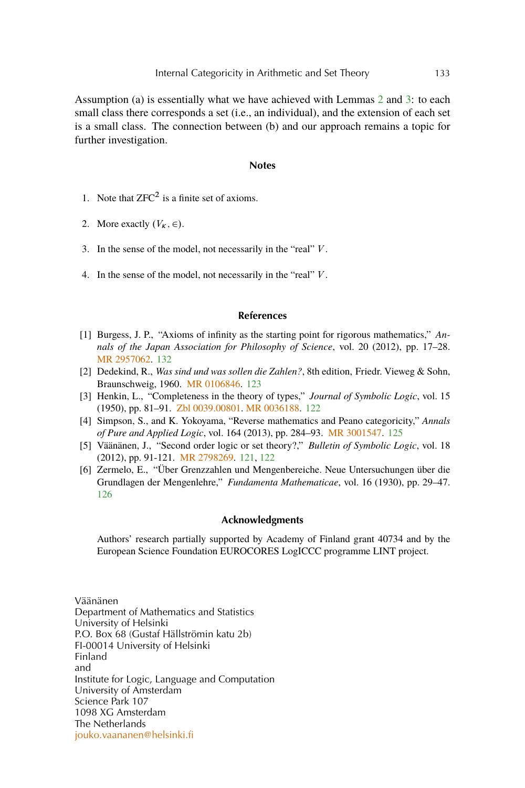<span id="page-12-0"></span>Assumption (a) is essentially what we have achieved with Lemmas [2](#page-9-0) and [3:](#page-9-0) to each small class there corresponds a set (i.e., an individual), and the extension of each set is a small class. The connection between (b) and our approach remains a topic for further investigation.

#### **Notes**

- 1. Note that  $ZFC^2$  is a finite set of axioms.
- 2. More exactly  $(V_K, \in)$ .
- 3. In the sense of the model, not necessarily in the "real" V .
- 4. In the sense of the model, not necessarily in the "real" V .

### **References**

- [1] Burgess, J. P., "Axioms of infinity as the starting point for rigorous mathematics," *Annals of the Japan Association for Philosophy of Science*, vol. 20 (2012), pp. 17–28. [MR 2957062.](http://www.ams.org/mathscinet-getitem?mr=2957062) [132](#page-11-0)
- [2] Dedekind, R., *Was sind und was sollen die Zahlen?*, 8th edition, Friedr. Vieweg & Sohn, Braunschweig, 1960. [MR 0106846.](http://www.ams.org/mathscinet-getitem?mr=0106846) [123](#page-2-0)
- [3] Henkin, L., "Completeness in the theory of types," *Journal of Symbolic Logic*, vol. 15 (1950), pp. 81–91. [Zbl 0039.00801.](http://www.emis.de/cgi-bin/MATH-item?0039.00801) [MR 0036188.](http://www.ams.org/mathscinet-getitem?mr=0036188) [122](#page-1-0)
- [4] Simpson, S., and K. Yokoyama, "Reverse mathematics and Peano categoricity," *Annals of Pure and Applied Logic*, vol. 164 (2013), pp. 284–93. [MR 3001547.](http://www.ams.org/mathscinet-getitem?mr=3001547) [125](#page-4-0)
- [5] Väänänen, J., "Second order logic or set theory?," *Bulletin of Symbolic Logic*, vol. 18 (2012), pp. 91-121. [MR 2798269.](http://www.ams.org/mathscinet-getitem?mr=2798269) [121,](#page-0-0) [122](#page-1-0)
- [6] Zermelo, E., "Über Grenzzahlen und Mengenbereiche. Neue Untersuchungen über die Grundlagen der Mengenlehre," *Fundamenta Mathematicae*, vol. 16 (1930), pp. 29–47. [126](#page-5-0)

#### **Acknowledgments**

Authors' research partially supported by Academy of Finland grant 40734 and by the European Science Foundation EUROCORES LogICCC programme LINT project.

Väänänen Department of Mathematics and Statistics University of Helsinki P.O. Box 68 (Gustaf Hällströmin katu 2b) FI-00014 University of Helsinki Finland and Institute for Logic, Language and Computation University of Amsterdam Science Park 107 1098 XG Amsterdam The Netherlands [jouko.vaananen@helsinki.fi](mailto:jouko.vaananen@helsinki.fi)